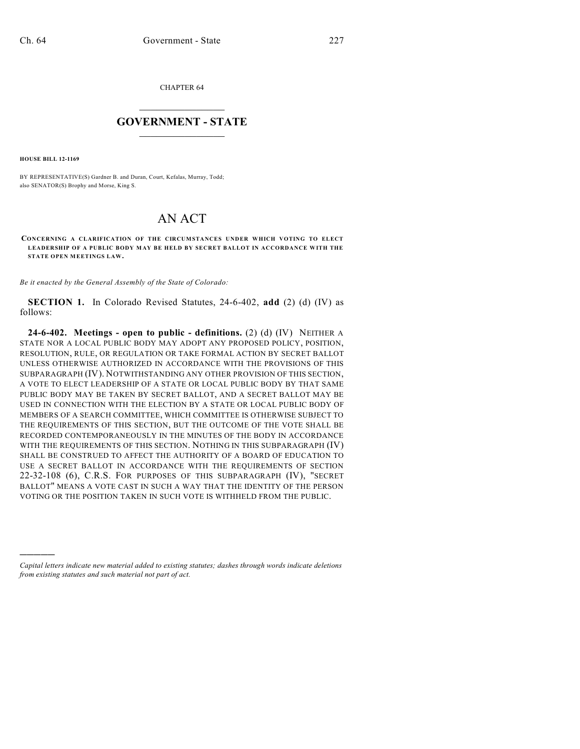CHAPTER 64

## $\overline{\phantom{a}}$  . The set of the set of the set of the set of the set of the set of the set of the set of the set of the set of the set of the set of the set of the set of the set of the set of the set of the set of the set o **GOVERNMENT - STATE**  $\_$   $\_$   $\_$   $\_$   $\_$   $\_$   $\_$   $\_$   $\_$

**HOUSE BILL 12-1169**

)))))

BY REPRESENTATIVE(S) Gardner B. and Duran, Court, Kefalas, Murray, Todd; also SENATOR(S) Brophy and Morse, King S.

## AN ACT

**CONCERNING A CLARIFICATION OF THE CIRCUMSTANCES UNDER WHICH VOTING TO ELECT LEADERSHIP OF A PUBLIC BODY MAY BE HELD BY SECRET BALLOT IN ACCORDANCE WITH THE STATE OPEN MEETINGS LAW.**

*Be it enacted by the General Assembly of the State of Colorado:*

**SECTION 1.** In Colorado Revised Statutes, 24-6-402, **add** (2) (d) (IV) as follows:

**24-6-402. Meetings - open to public - definitions.** (2) (d) (IV) NEITHER A STATE NOR A LOCAL PUBLIC BODY MAY ADOPT ANY PROPOSED POLICY, POSITION, RESOLUTION, RULE, OR REGULATION OR TAKE FORMAL ACTION BY SECRET BALLOT UNLESS OTHERWISE AUTHORIZED IN ACCORDANCE WITH THE PROVISIONS OF THIS SUBPARAGRAPH (IV). NOTWITHSTANDING ANY OTHER PROVISION OF THIS SECTION, A VOTE TO ELECT LEADERSHIP OF A STATE OR LOCAL PUBLIC BODY BY THAT SAME PUBLIC BODY MAY BE TAKEN BY SECRET BALLOT, AND A SECRET BALLOT MAY BE USED IN CONNECTION WITH THE ELECTION BY A STATE OR LOCAL PUBLIC BODY OF MEMBERS OF A SEARCH COMMITTEE, WHICH COMMITTEE IS OTHERWISE SUBJECT TO THE REQUIREMENTS OF THIS SECTION, BUT THE OUTCOME OF THE VOTE SHALL BE RECORDED CONTEMPORANEOUSLY IN THE MINUTES OF THE BODY IN ACCORDANCE WITH THE REQUIREMENTS OF THIS SECTION. NOTHING IN THIS SUBPARAGRAPH (IV) SHALL BE CONSTRUED TO AFFECT THE AUTHORITY OF A BOARD OF EDUCATION TO USE A SECRET BALLOT IN ACCORDANCE WITH THE REQUIREMENTS OF SECTION 22-32-108 (6), C.R.S. FOR PURPOSES OF THIS SUBPARAGRAPH (IV), "SECRET BALLOT" MEANS A VOTE CAST IN SUCH A WAY THAT THE IDENTITY OF THE PERSON VOTING OR THE POSITION TAKEN IN SUCH VOTE IS WITHHELD FROM THE PUBLIC.

*Capital letters indicate new material added to existing statutes; dashes through words indicate deletions from existing statutes and such material not part of act.*